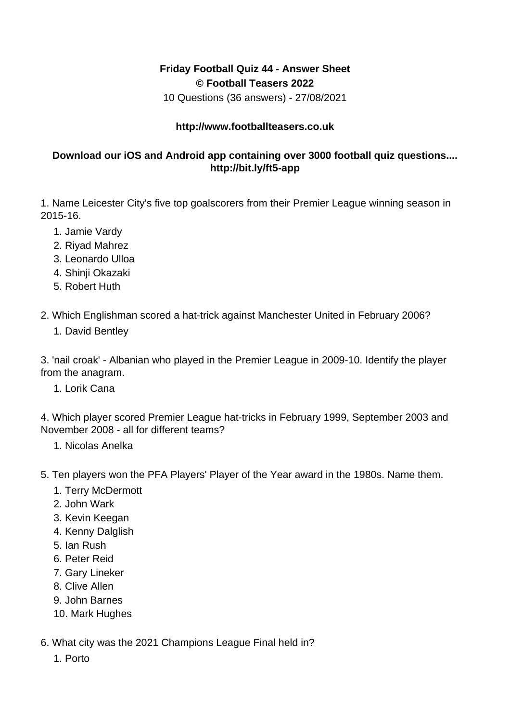## **Friday Football Quiz 44 - Answer Sheet © Football Teasers 2022**

10 Questions (36 answers) - 27/08/2021

## **http://www.footballteasers.co.uk**

## **Download our iOS and Android app containing over 3000 football quiz questions.... http://bit.ly/ft5-app**

1. Name Leicester City's five top goalscorers from their Premier League winning season in 2015-16.

- 1. Jamie Vardy
- 2. Riyad Mahrez
- 3. Leonardo Ulloa
- 4. Shinji Okazaki
- 5. Robert Huth

2. Which Englishman scored a hat-trick against Manchester United in February 2006?

1. David Bentley

3. 'nail croak' - Albanian who played in the Premier League in 2009-10. Identify the player from the anagram.

1. Lorik Cana

4. Which player scored Premier League hat-tricks in February 1999, September 2003 and November 2008 - all for different teams?

- 1. Nicolas Anelka
- 5. Ten players won the PFA Players' Player of the Year award in the 1980s. Name them.
	- 1. Terry McDermott
	- 2. John Wark
	- 3. Kevin Keegan
	- 4. Kenny Dalglish
	- 5. Ian Rush
	- 6. Peter Reid
	- 7. Gary Lineker
	- 8. Clive Allen
	- 9. John Barnes
	- 10. Mark Hughes
- 6. What city was the 2021 Champions League Final held in?
	- 1. Porto